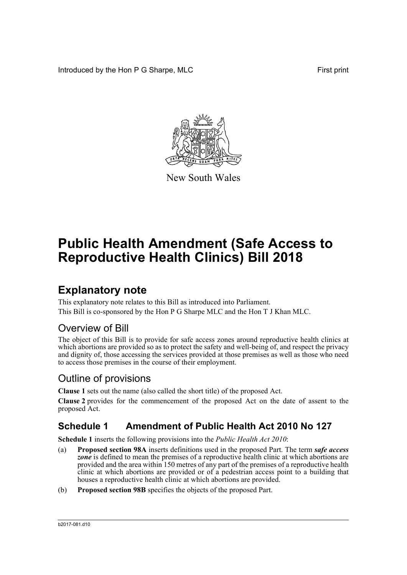Introduced by the Hon P G Sharpe, MLC First print



New South Wales

# **Public Health Amendment (Safe Access to Reproductive Health Clinics) Bill 2018**

## **Explanatory note**

This explanatory note relates to this Bill as introduced into Parliament. This Bill is co-sponsored by the Hon P G Sharpe MLC and the Hon T J Khan MLC.

## Overview of Bill

The object of this Bill is to provide for safe access zones around reproductive health clinics at which abortions are provided so as to protect the safety and well-being of, and respect the privacy and dignity of, those accessing the services provided at those premises as well as those who need to access those premises in the course of their employment.

## Outline of provisions

**Clause 1** sets out the name (also called the short title) of the proposed Act.

**Clause 2** provides for the commencement of the proposed Act on the date of assent to the proposed Act.

## **Schedule 1 Amendment of Public Health Act 2010 No 127**

**Schedule 1** inserts the following provisions into the *Public Health Act 2010*:

- (a) **Proposed section 98A** inserts definitions used in the proposed Part. The term *safe access* zone is defined to mean the premises of a reproductive health clinic at which abortions are provided and the area within 150 metres of any part of the premises of a reproductive health clinic at which abortions are provided or of a pedestrian access point to a building that houses a reproductive health clinic at which abortions are provided.
- (b) **Proposed section 98B** specifies the objects of the proposed Part.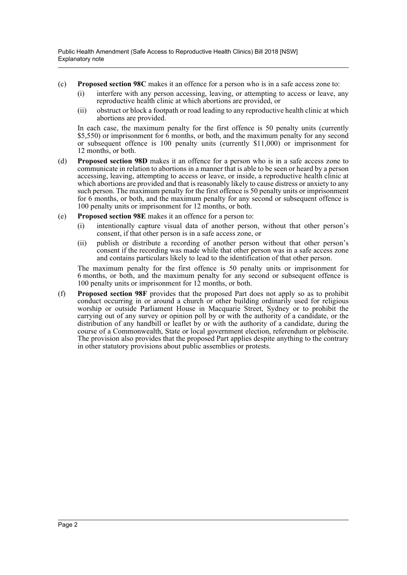- (c) **Proposed section 98C** makes it an offence for a person who is in a safe access zone to:
	- (i) interfere with any person accessing, leaving, or attempting to access or leave, any reproductive health clinic at which abortions are provided, or
	- (ii) obstruct or block a footpath or road leading to any reproductive health clinic at which abortions are provided.

In each case, the maximum penalty for the first offence is 50 penalty units (currently \$5,550) or imprisonment for 6 months, or both, and the maximum penalty for any second or subsequent offence is 100 penalty units (currently \$11,000) or imprisonment for 12 months, or both.

- (d) **Proposed section 98D** makes it an offence for a person who is in a safe access zone to communicate in relation to abortions in a manner that is able to be seen or heard by a person accessing, leaving, attempting to access or leave, or inside, a reproductive health clinic at which abortions are provided and that is reasonably likely to cause distress or anxiety to any such person. The maximum penalty for the first offence is 50 penalty units or imprisonment for 6 months, or both, and the maximum penalty for any second or subsequent offence is 100 penalty units or imprisonment for 12 months, or both.
- (e) **Proposed section 98E** makes it an offence for a person to:
	- (i) intentionally capture visual data of another person, without that other person's consent, if that other person is in a safe access zone, or
	- (ii) publish or distribute a recording of another person without that other person's consent if the recording was made while that other person was in a safe access zone and contains particulars likely to lead to the identification of that other person.

The maximum penalty for the first offence is 50 penalty units or imprisonment for 6 months, or both, and the maximum penalty for any second or subsequent offence is 100 penalty units or imprisonment for 12 months, or both.

(f) **Proposed section 98F** provides that the proposed Part does not apply so as to prohibit conduct occurring in or around a church or other building ordinarily used for religious worship or outside Parliament House in Macquarie Street, Sydney or to prohibit the carrying out of any survey or opinion poll by or with the authority of a candidate, or the distribution of any handbill or leaflet by or with the authority of a candidate, during the course of a Commonwealth, State or local government election, referendum or plebiscite. The provision also provides that the proposed Part applies despite anything to the contrary in other statutory provisions about public assemblies or protests.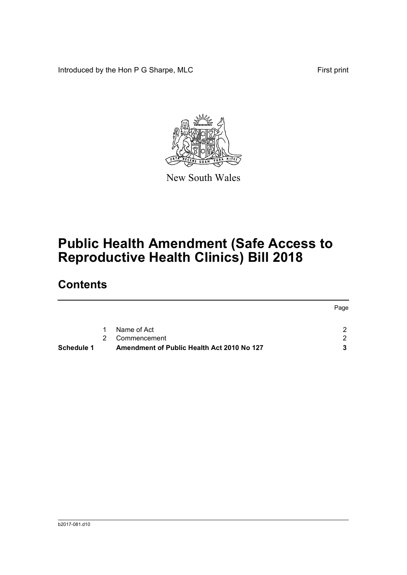Introduced by the Hon P G Sharpe, MLC First print



New South Wales

# **Public Health Amendment (Safe Access to Reproductive Health Clinics) Bill 2018**

## **Contents**

|                   |   |                                            | Page |
|-------------------|---|--------------------------------------------|------|
|                   |   | Name of Act                                | ົ    |
|                   | 2 | Commencement                               | ົາ   |
| <b>Schedule 1</b> |   | Amendment of Public Health Act 2010 No 127 |      |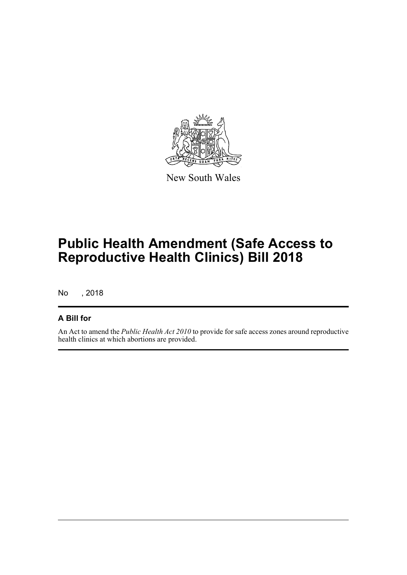

New South Wales

# **Public Health Amendment (Safe Access to Reproductive Health Clinics) Bill 2018**

No , 2018

### **A Bill for**

An Act to amend the *Public Health Act 2010* to provide for safe access zones around reproductive health clinics at which abortions are provided.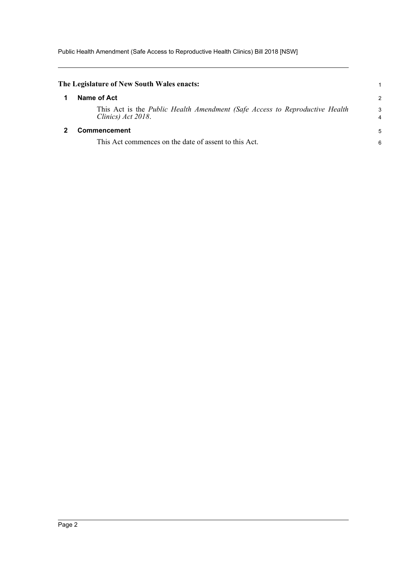Public Health Amendment (Safe Access to Reproductive Health Clinics) Bill 2018 [NSW]

<span id="page-4-1"></span><span id="page-4-0"></span>

| The Legislature of New South Wales enacts:                                                        |        |
|---------------------------------------------------------------------------------------------------|--------|
| Name of Act                                                                                       | 2      |
| This Act is the Public Health Amendment (Safe Access to Reproductive Health<br>Clinics) Act 2018. | 3<br>4 |
| <b>Commencement</b>                                                                               |        |
| This Act commences on the date of assent to this Act.                                             | 6      |
|                                                                                                   |        |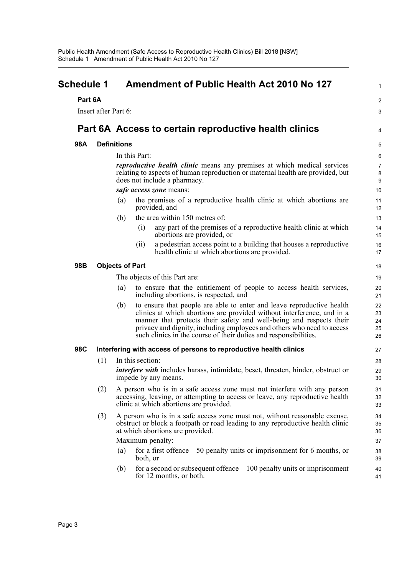<span id="page-5-0"></span>

| Schedule 1<br>Part 6A |                      | <b>Amendment of Public Health Act 2010 No 127</b>                                                                                                                                                                                                                                                                                                                           |                            |
|-----------------------|----------------------|-----------------------------------------------------------------------------------------------------------------------------------------------------------------------------------------------------------------------------------------------------------------------------------------------------------------------------------------------------------------------------|----------------------------|
|                       |                      |                                                                                                                                                                                                                                                                                                                                                                             | 2                          |
|                       | Insert after Part 6: |                                                                                                                                                                                                                                                                                                                                                                             | 3                          |
|                       |                      | Part 6A Access to certain reproductive health clinics                                                                                                                                                                                                                                                                                                                       | 4                          |
| 98A                   |                      | <b>Definitions</b>                                                                                                                                                                                                                                                                                                                                                          | 5                          |
|                       |                      | In this Part:                                                                                                                                                                                                                                                                                                                                                               | 6                          |
|                       |                      | <i>reproductive health clinic</i> means any premises at which medical services<br>relating to aspects of human reproduction or maternal health are provided, but<br>does not include a pharmacy.                                                                                                                                                                            | $\overline{7}$<br>8<br>9   |
|                       |                      | safe access zone means:                                                                                                                                                                                                                                                                                                                                                     | 10                         |
|                       |                      | the premises of a reproductive health clinic at which abortions are<br>(a)<br>provided, and                                                                                                                                                                                                                                                                                 | 11<br>12                   |
|                       |                      | the area within 150 metres of:<br>(b)                                                                                                                                                                                                                                                                                                                                       | 13                         |
|                       |                      | any part of the premises of a reproductive health clinic at which<br>(i)<br>abortions are provided, or                                                                                                                                                                                                                                                                      | 14<br>15                   |
|                       |                      | a pedestrian access point to a building that houses a reproductive<br>(11)<br>health clinic at which abortions are provided.                                                                                                                                                                                                                                                | 16<br>17                   |
| 98B                   |                      | <b>Objects of Part</b>                                                                                                                                                                                                                                                                                                                                                      | 18                         |
|                       |                      | The objects of this Part are:                                                                                                                                                                                                                                                                                                                                               | 19                         |
|                       |                      | to ensure that the entitlement of people to access health services,<br>(a)<br>including abortions, is respected, and                                                                                                                                                                                                                                                        | 20<br>21                   |
|                       |                      | to ensure that people are able to enter and leave reproductive health<br>(b)<br>clinics at which abortions are provided without interference, and in a<br>manner that protects their safety and well-being and respects their<br>privacy and dignity, including employees and others who need to access<br>such clinics in the course of their duties and responsibilities. | 22<br>23<br>24<br>25<br>26 |
| 98C                   |                      | Interfering with access of persons to reproductive health clinics                                                                                                                                                                                                                                                                                                           | 27                         |
|                       | (1)                  | In this section:                                                                                                                                                                                                                                                                                                                                                            | 28                         |
|                       |                      | interfere with includes harass, intimidate, beset, threaten, hinder, obstruct or<br>impede by any means.                                                                                                                                                                                                                                                                    | 29<br>30                   |
|                       | (2)                  | A person who is in a safe access zone must not interfere with any person<br>accessing, leaving, or attempting to access or leave, any reproductive health<br>clinic at which abortions are provided.                                                                                                                                                                        | 31<br>32<br>33             |
|                       | (3)                  | A person who is in a safe access zone must not, without reasonable excuse,<br>obstruct or block a footpath or road leading to any reproductive health clinic<br>at which abortions are provided.                                                                                                                                                                            | 34<br>35<br>36             |
|                       |                      | Maximum penalty:                                                                                                                                                                                                                                                                                                                                                            | 37                         |
|                       |                      | for a first offence—50 penalty units or imprisonment for 6 months, or<br>(a)<br>both, or                                                                                                                                                                                                                                                                                    | 38<br>39                   |
|                       |                      | for a second or subsequent offence—100 penalty units or imprisonment<br>(b)<br>for 12 months, or both.                                                                                                                                                                                                                                                                      | 40<br>41                   |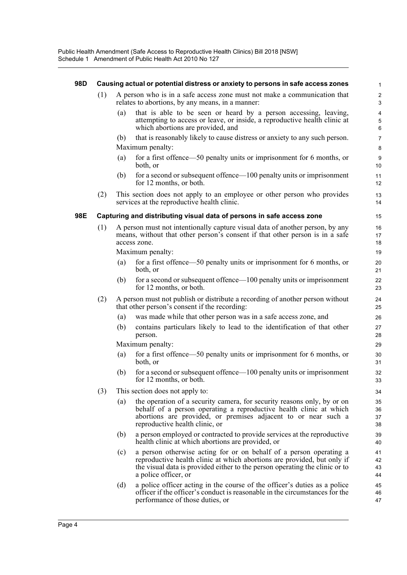#### **98D Causing actual or potential distress or anxiety to persons in safe access zones**

- (1) A person who is in a safe access zone must not make a communication that relates to abortions, by any means, in a manner:
	- (a) that is able to be seen or heard by a person accessing, leaving, attempting to access or leave, or inside, a reproductive health clinic at which abortions are provided, and

- (b) that is reasonably likely to cause distress or anxiety to any such person. Maximum penalty:
- (a) for a first offence—50 penalty units or imprisonment for 6 months, or both, or
- (b) for a second or subsequent offence—100 penalty units or imprisonment for 12 months, or both.
- (2) This section does not apply to an employee or other person who provides services at the reproductive health clinic.

#### **98E Capturing and distributing visual data of persons in safe access zone**

(1) A person must not intentionally capture visual data of another person, by any means, without that other person's consent if that other person is in a safe access zone.

Maximum penalty:

- (a) for a first offence—50 penalty units or imprisonment for 6 months, or both, or
- (b) for a second or subsequent offence—100 penalty units or imprisonment for 12 months, or both.
- (2) A person must not publish or distribute a recording of another person without that other person's consent if the recording:
	- (a) was made while that other person was in a safe access zone, and
	- (b) contains particulars likely to lead to the identification of that other person.

Maximum penalty:

- (a) for a first offence—50 penalty units or imprisonment for 6 months, or both, or
- (b) for a second or subsequent offence—100 penalty units or imprisonment for 12 months, or both.
- (3) This section does not apply to:
	- (a) the operation of a security camera, for security reasons only, by or on behalf of a person operating a reproductive health clinic at which abortions are provided, or premises adjacent to or near such a reproductive health clinic, or
	- (b) a person employed or contracted to provide services at the reproductive health clinic at which abortions are provided, or
	- (c) a person otherwise acting for or on behalf of a person operating a reproductive health clinic at which abortions are provided, but only if the visual data is provided either to the person operating the clinic or to a police officer, or
	- (d) a police officer acting in the course of the officer's duties as a police officer if the officer's conduct is reasonable in the circumstances for the performance of those duties, or